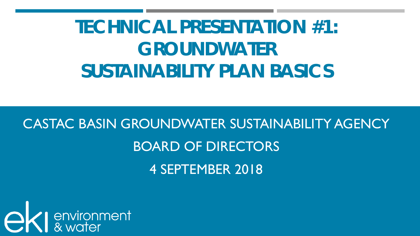# **TECHNICAL PRESENTATION #1: GROUNDWATER SUSTAINABILITY PLAN BASICS**

# CASTAC BASIN GROUNDWATER SUSTAINABILITY AGENCY BOARD OF DIRECTORS 4 SEPTEMBER 2018

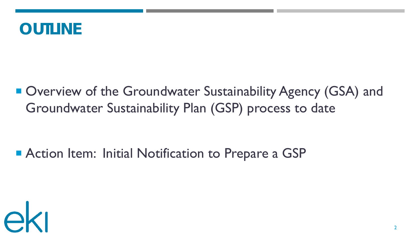#### **OUTLINE**

■ Overview of the Groundwater Sustainability Agency (GSA) and Groundwater Sustainability Plan (GSP) process to date

#### **Exercise Action Item: Initial Notification to Prepare a GSP**

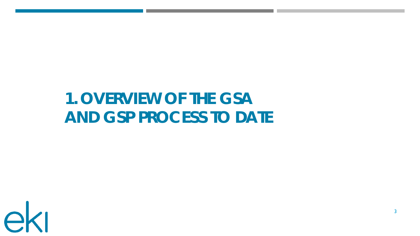## **1. OVERVIEW OF THE GSA AND GSP PROCESS TO DATE**

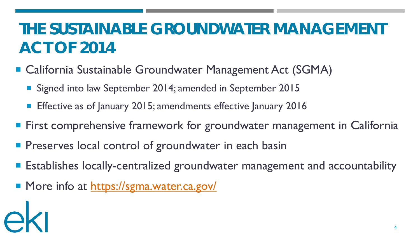## **THE SUSTAINABLE GROUNDWATER MANAGEMENT ACT OF 2014**

- California Sustainable Groundwater Management Act (SGMA)
	- Signed into law September 2014; amended in September 2015
	- **Effective as of January 2015; amendments effective January 2016**
- **First comprehensive framework for groundwater management in California**
- **Pheserves local control of groundwater in each basin**
- **Establishes locally-centralized groundwater management and accountability**
- More info at<https://sgma.water.ca.gov/>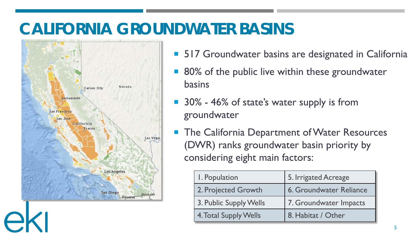#### **CALIFORNIA GROUNDWATER BASINS**



- 517 Groundwater basins are designated in California
- 80% of the public live within these groundwater basins
- 30% 46% of state's water supply is from groundwater
- The California Department of Water Resources (DWR) ranks groundwater basin priority by considering eight main factors:

| I. Population                | 5. Irrigated Acreage           |
|------------------------------|--------------------------------|
| 2. Projected Growth          | <b>6. Groundwater Reliance</b> |
| 3. Public Supply Wells       | 7. Groundwater Impacts         |
| <b>4. Total Supply Wells</b> | 8. Habitat / Other             |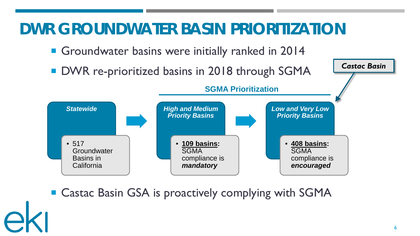#### **DWR GROUNDWATER BASIN PRIORITIZATION**

- Groundwater basins were initially ranked in 2014
- **DWR re-prioritized basins in 2018 through SGMA**



■ Castac Basin GSA is proactively complying with SGMA

*Castac Basin*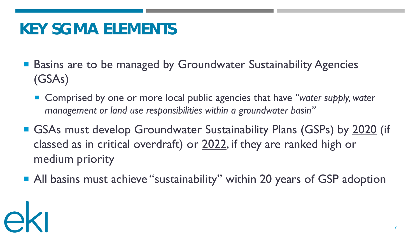#### **KEY SGMA ELEMENTS**

- Basins are to be managed by Groundwater Sustainability Agencies (GSAs)
	- Comprised by one or more local public agencies that have "water supply, water *management or land use responsibilities within a groundwater basin"*
- GSAs must develop Groundwater Sustainability Plans (GSPs) by 2020 (if classed as in critical overdraft) or 2022, if they are ranked high or medium priority
- All basins must achieve "sustainability" within 20 years of GSP adoption

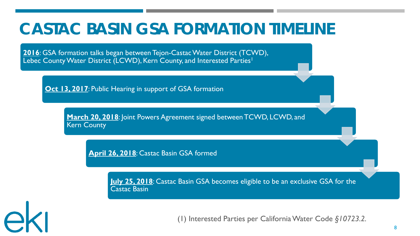#### **CASTAC BASIN GSA FORMATION TIMELINE**

**2016**: GSA formation talks began between Tejon-Castac Water District (TCWD), Lebec County Water District (LCWD), Kern County, and Interested Parties<sup>1</sup>

**Oct 13, 2017: Public Hearing in support of GSA formation** 

ek

**March 20, 2018**: Joint Powers Agreement signed between TCWD, LCWD, and Kern County

**April 26, 2018**: Castac Basin GSA formed

**July 25, 2018**: Castac Basin GSA becomes eligible to be an exclusive GSA for the Castac Basin

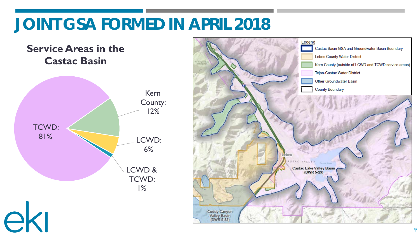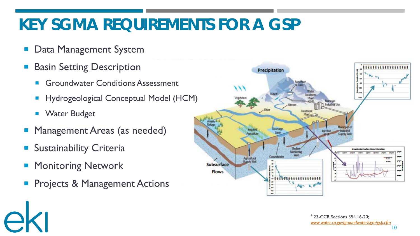## **KEY SGMA REQUIREMENTS FOR A GSP**

- Data Management System
- Basin Setting Description
	- Groundwater Conditions Assessment
	- **Hydrogeological Conceptual Model (HCM)**
	- **Nater Budget**
- **Management Areas (as needed)**
- **Sustainability Criteria**
- Monitoring Network

ek

Projects & Management Actions

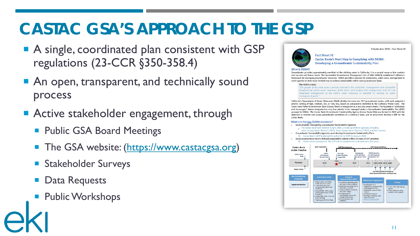#### **CASTAC GSA'S APPROACH TO THE GSP**

- A single, coordinated plan consistent with GSP regulations (23-CCR §350-358.4)
- An open, transparent, and technically sound process
- **Active stakeholder engagement, through** 
	- **Public GSA Board Meetings**
	- **The GSA website:** (https://www.castacgsa.org)
	- **Stakeholder Surveys**
	- **Data Requests**
	- **Public Workshops**



4 September 2018 - Fact Sheet #1

**Fact Sheet #1 Castac Basin's Next Step in Complying with SGMA: Developing a Groundwater Sustainability Plan** 

#### **What is SGMA**

Groundwater provides approximately one-third of the drinking water in California; it is a natural resource that sustains vital current and future needs. The Sustainable Groundwater Management Act of 2014 (SGMA) established California's framework for managing groundwater resources. SGMA provides a process for landowners, water users, and agencies to work together to determine the best way to achieve sustainability within each groundwater basin.

#### The SGMA states:

"The people of the state have a primary interest in the protection, management and reasonable beneficial use of the water resources of the state, both surface and underground, and that the integrated management of the state's water resources is essential to meeting its water management goals.'

California's Department of Water Resources (DWR) divides the state into 517 groundwater basins, with each assigned a priority ranking of high, medium, low, or very low, based on components identified in the California Water Code. The Castac Lake Valley Groundwater Basin (Castac Basin) is designated as a very low priority basin. The Legislature "authorizes and encourages" basins designated as very low priority to be managed under a Groundwater Sustainability Plan (GSP) pursuant to SGMA. The Castac Basin Groundwater Sustainability Agency (Castac Basin GSA) was formed in 2018 with the objective to monitor and assess groundwater conditions on a voluntary basis, and to proactively develop a GSP for the Castac Basin.

#### What are the key SGMA elements?

- Basins must be managed by Groundwater Sustainability Agencies
	- The Castac Basin GSA, formed in April 2018, is made up of three agencies, including Lebec County Water District (LCWD), Tejon-Castac Water District (TCWD), and Kern County
- o Groundwater Sustainability Agencies must develop Groundwater Sustainability Plans Castac Basin's GSP is planned for submittal to DWR by January 2020.
- Basins must achieve clearly-defined sustainability criteria within 20 years of GSP adoption □ Performance assessment: The GSP will be updated and reviewed every five years

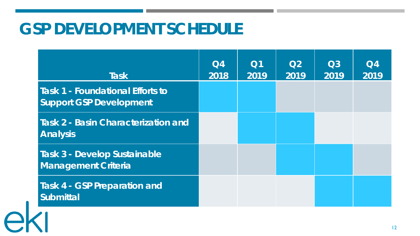#### **GSP DEVELOPMENT SCHEDULE**

|  | <b>Task</b>                                                               | Q4<br>2018 | Q1<br>2019 | Q2<br>2019 | $\Omega$<br>2019 | Q <sub>4</sub><br>2019 |
|--|---------------------------------------------------------------------------|------------|------------|------------|------------------|------------------------|
|  | <b>Task 1 - Foundational Efforts to</b><br><b>Support GSP Development</b> |            |            |            |                  |                        |
|  | <b>Task 2 - Basin Characterization and</b><br><b>Analysis</b>             |            |            |            |                  |                        |
|  | <b>Task 3 - Develop Sustainable</b><br><b>Management Criteria</b>         |            |            |            |                  |                        |
|  | <b>Task 4 - GSP Preparation and</b><br><b>Submittal</b>                   |            |            |            |                  |                        |
|  |                                                                           |            |            |            |                  |                        |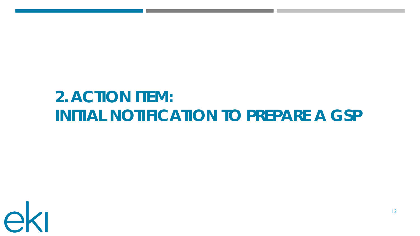## **2. ACTION ITEM: INITIAL NOTIFICATION TO PREPARE A GSP**

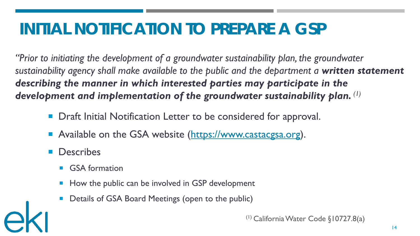## **INITIAL NOTIFICATION TO PREPARE A GSP**

*"Prior to initiating the development of a groundwater sustainability plan, the groundwater sustainability agency shall make available to the public and the department a written statement describing the manner in which interested parties may participate in the development and implementation of the groundwater sustainability plan. (1)*

- Draft Initial Notification Letter to be considered for approval.
- Available on the GSA website (https://www.castacgsa.org).
- Describes
	- GSA formation
	- How the public can be involved in GSP development
	- Details of GSA Board Meetings (open to the public)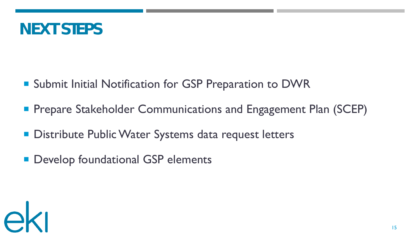

- Submit Initial Notification for GSP Preparation to DWR
- **Prepare Stakeholder Communications and Engagement Plan (SCEP)**
- **Distribute Public Water Systems data request letters**
- **Develop foundational GSP elements**